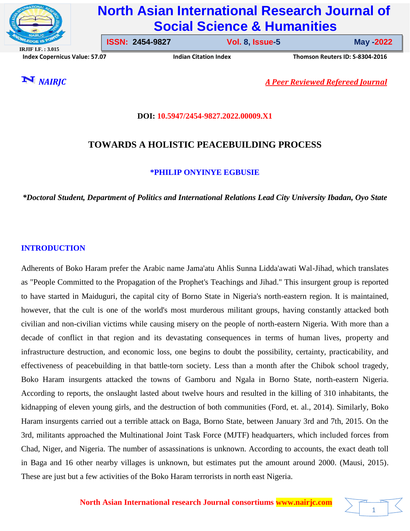

# **North Asian International Research Journal of Social Science & Humanities**

**IRJIF I.F. : 3.015 Index Copernicus Value: 57.07****Indian Citation Index****Thomson Reuters ID: S-8304-2016** 

**ISSN: 2454-9827 Vol. 8, Issue-5** 

**Issue-5 May -2022**

1

*NAIRJC A Peer Reviewed Refereed Journal*

# **DOI: 10.5947/2454-9827.2022.00009.X1**

# **TOWARDS A HOLISTIC PEACEBUILDING PROCESS**

# **\*PHILIP ONYINYE EGBUSIE**

*\*Doctoral Student, Department of Politics and International Relations Lead City University Ibadan, Oyo State*

# **INTRODUCTION**

Adherents of Boko Haram prefer the Arabic name Jama'atu Ahlis Sunna Lidda'awati Wal-Jihad, which translates as "People Committed to the Propagation of the Prophet's Teachings and Jihad." This insurgent group is reported to have started in Maiduguri, the capital city of Borno State in Nigeria's north-eastern region. It is maintained, however, that the cult is one of the world's most murderous militant groups, having constantly attacked both civilian and non-civilian victims while causing misery on the people of north-eastern Nigeria. With more than a decade of conflict in that region and its devastating consequences in terms of human lives, property and infrastructure destruction, and economic loss, one begins to doubt the possibility, certainty, practicability, and effectiveness of peacebuilding in that battle-torn society. Less than a month after the Chibok school tragedy, Boko Haram insurgents attacked the towns of Gamboru and Ngala in Borno State, north-eastern Nigeria. According to reports, the onslaught lasted about twelve hours and resulted in the killing of 310 inhabitants, the kidnapping of eleven young girls, and the destruction of both communities (Ford, et. al., 2014). Similarly, Boko Haram insurgents carried out a terrible attack on Baga, Borno State, between January 3rd and 7th, 2015. On the 3rd, militants approached the Multinational Joint Task Force (MJTF) headquarters, which included forces from Chad, Niger, and Nigeria. The number of assassinations is unknown. According to accounts, the exact death toll in Baga and 16 other nearby villages is unknown, but estimates put the amount around 2000. (Mausi, 2015). These are just but a few activities of the Boko Haram terrorists in north east Nigeria.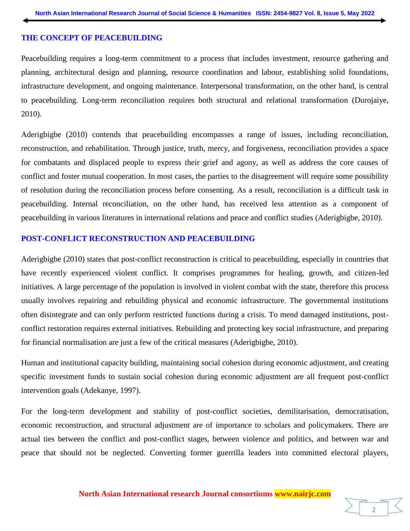#### **THE CONCEPT OF PEACEBUILDING**

Peacebuilding requires a long-term commitment to a process that includes investment, resource gathering and planning, architectural design and planning, resource coordination and labour, establishing solid foundations, infrastructure development, and ongoing maintenance. Interpersonal transformation, on the other hand, is central to peacebuilding. Long-term reconciliation requires both structural and relational transformation (Durojaiye, 2010).

Aderigbigbe (2010) contends that peacebuilding encompasses a range of issues, including reconciliation, reconstruction, and rehabilitation. Through justice, truth, mercy, and forgiveness, reconciliation provides a space for combatants and displaced people to express their grief and agony, as well as address the core causes of conflict and foster mutual cooperation. In most cases, the parties to the disagreement will require some possibility of resolution during the reconciliation process before consenting. As a result, reconciliation is a difficult task in peacebuilding. Internal reconciliation, on the other hand, has received less attention as a component of peacebuilding in various literatures in international relations and peace and conflict studies (Aderigbigbe, 2010).

#### **POST-CONFLICT RECONSTRUCTION AND PEACEBUILDING**

Aderigbigbe (2010) states that post-conflict reconstruction is critical to peacebuilding, especially in countries that have recently experienced violent conflict. It comprises programmes for healing, growth, and citizen-led initiatives. A large percentage of the population is involved in violent combat with the state, therefore this process usually involves repairing and rebuilding physical and economic infrastructure. The governmental institutions often disintegrate and can only perform restricted functions during a crisis. To mend damaged institutions, postconflict restoration requires external initiatives. Rebuilding and protecting key social infrastructure, and preparing for financial normalisation are just a few of the critical measures (Aderigbigbe, 2010).

Human and institutional capacity building, maintaining social cohesion during economic adjustment, and creating specific investment funds to sustain social cohesion during economic adjustment are all frequent post-conflict intervention goals (Adekanye, 1997).

For the long-term development and stability of post-conflict societies, demilitarisation, democratisation, economic reconstruction, and structural adjustment are of importance to scholars and policymakers. There are actual ties between the conflict and post-conflict stages, between violence and politics, and between war and peace that should not be neglected. Converting former guerrilla leaders into committed electoral players,

**North Asian International research Journal consortiums www.nairjc.com**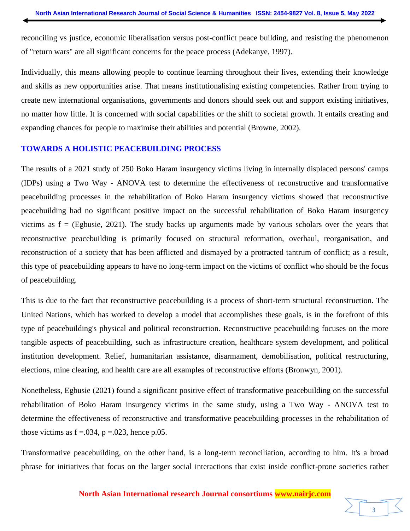reconciling vs justice, economic liberalisation versus post-conflict peace building, and resisting the phenomenon of "return wars" are all significant concerns for the peace process (Adekanye, 1997).

Individually, this means allowing people to continue learning throughout their lives, extending their knowledge and skills as new opportunities arise. That means institutionalising existing competencies. Rather from trying to create new international organisations, governments and donors should seek out and support existing initiatives, no matter how little. It is concerned with social capabilities or the shift to societal growth. It entails creating and expanding chances for people to maximise their abilities and potential (Browne, 2002).

### **TOWARDS A HOLISTIC PEACEBUILDING PROCESS**

The results of a 2021 study of 250 Boko Haram insurgency victims living in internally displaced persons' camps (IDPs) using a Two Way - ANOVA test to determine the effectiveness of reconstructive and transformative peacebuilding processes in the rehabilitation of Boko Haram insurgency victims showed that reconstructive peacebuilding had no significant positive impact on the successful rehabilitation of Boko Haram insurgency victims as  $f = (Egbusie, 2021)$ . The study backs up arguments made by various scholars over the years that reconstructive peacebuilding is primarily focused on structural reformation, overhaul, reorganisation, and reconstruction of a society that has been afflicted and dismayed by a protracted tantrum of conflict; as a result, this type of peacebuilding appears to have no long-term impact on the victims of conflict who should be the focus of peacebuilding.

This is due to the fact that reconstructive peacebuilding is a process of short-term structural reconstruction. The United Nations, which has worked to develop a model that accomplishes these goals, is in the forefront of this type of peacebuilding's physical and political reconstruction. Reconstructive peacebuilding focuses on the more tangible aspects of peacebuilding, such as infrastructure creation, healthcare system development, and political institution development. Relief, humanitarian assistance, disarmament, demobilisation, political restructuring, elections, mine clearing, and health care are all examples of reconstructive efforts (Bronwyn, 2001).

Nonetheless, Egbusie (2021) found a significant positive effect of transformative peacebuilding on the successful rehabilitation of Boko Haram insurgency victims in the same study, using a Two Way - ANOVA test to determine the effectiveness of reconstructive and transformative peacebuilding processes in the rehabilitation of those victims as  $f = .034$ ,  $p = .023$ , hence p.05.

Transformative peacebuilding, on the other hand, is a long-term reconciliation, according to him. It's a broad phrase for initiatives that focus on the larger social interactions that exist inside conflict-prone societies rather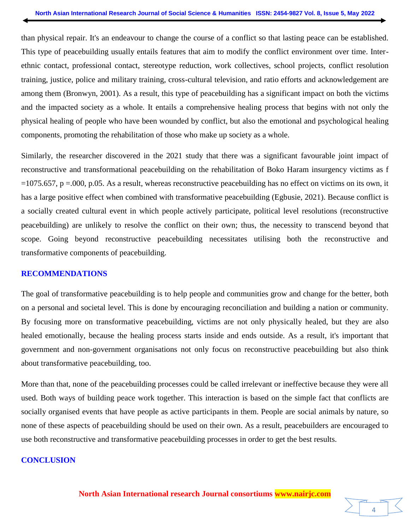than physical repair. It's an endeavour to change the course of a conflict so that lasting peace can be established. This type of peacebuilding usually entails features that aim to modify the conflict environment over time. Interethnic contact, professional contact, stereotype reduction, work collectives, school projects, conflict resolution training, justice, police and military training, cross-cultural television, and ratio efforts and acknowledgement are among them (Bronwyn, 2001). As a result, this type of peacebuilding has a significant impact on both the victims and the impacted society as a whole. It entails a comprehensive healing process that begins with not only the physical healing of people who have been wounded by conflict, but also the emotional and psychological healing components, promoting the rehabilitation of those who make up society as a whole.

Similarly, the researcher discovered in the 2021 study that there was a significant favourable joint impact of reconstructive and transformational peacebuilding on the rehabilitation of Boko Haram insurgency victims as f  $=1075.657$ , p  $=000$ , p.05. As a result, whereas reconstructive peacebuilding has no effect on victims on its own, it has a large positive effect when combined with transformative peacebuilding (Egbusie, 2021). Because conflict is a socially created cultural event in which people actively participate, political level resolutions (reconstructive peacebuilding) are unlikely to resolve the conflict on their own; thus, the necessity to transcend beyond that scope. Going beyond reconstructive peacebuilding necessitates utilising both the reconstructive and transformative components of peacebuilding.

#### **RECOMMENDATIONS**

The goal of transformative peacebuilding is to help people and communities grow and change for the better, both on a personal and societal level. This is done by encouraging reconciliation and building a nation or community. By focusing more on transformative peacebuilding, victims are not only physically healed, but they are also healed emotionally, because the healing process starts inside and ends outside. As a result, it's important that government and non-government organisations not only focus on reconstructive peacebuilding but also think about transformative peacebuilding, too.

More than that, none of the peacebuilding processes could be called irrelevant or ineffective because they were all used. Both ways of building peace work together. This interaction is based on the simple fact that conflicts are socially organised events that have people as active participants in them. People are social animals by nature, so none of these aspects of peacebuilding should be used on their own. As a result, peacebuilders are encouraged to use both reconstructive and transformative peacebuilding processes in order to get the best results.

#### **CONCLUSION**